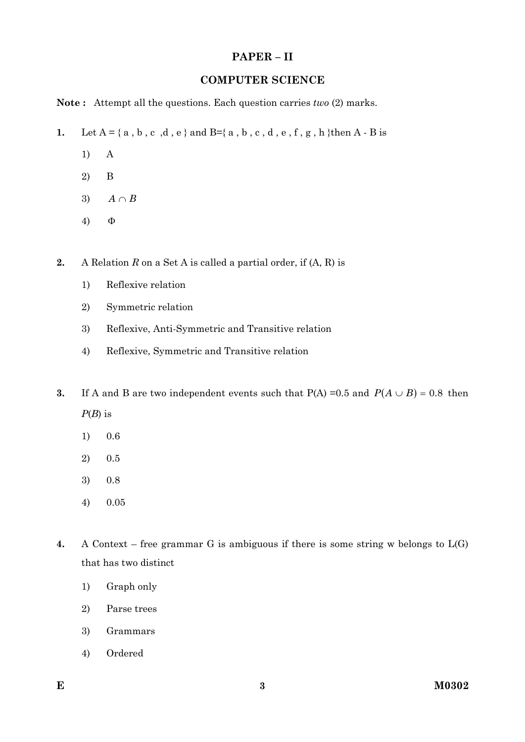### **PAPER – II**

#### **COMPUTER SCIENCE**

**Note :** Attempt all the questions. Each question carries *two* (2) marks.

- **1.** Let  $A = \{a, b, c, d, e\}$  and  $B = \{a, b, c, d, e, f, g, h\}$ then  $A B$  is
	- 1) A
	- 2) B
	- 3)  $A \cap B$
	- 4)

**2.** A Relation *R* on a Set A is called a partial order, if (A, R) is

- 1) Reflexive relation
- 2) Symmetric relation
- 3) Reflexive, Anti-Symmetric and Transitive relation
- 4) Reflexive, Symmetric and Transitive relation
- **3.** If A and B are two independent events such that  $P(A) = 0.5$  and  $P(A \cup B) = 0.8$  then *P*(*B*) is
	- 1) 0.6
	- 2) 0.5
	- 3) 0.8
	- 4) 0.05
- **4.** A Context free grammar G is ambiguous if there is some string w belongs to L(G) that has two distinct
	- 1) Graph only
	- 2) Parse trees
	- 3) Grammars
	- 4) Ordered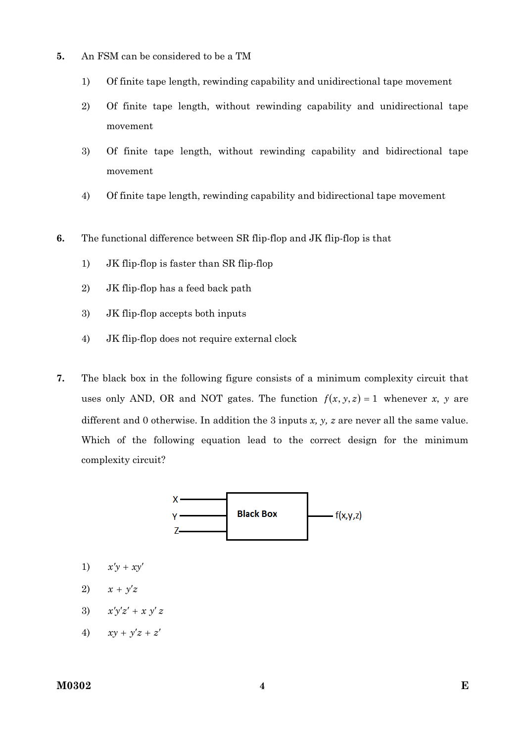- **5.** An FSM can be considered to be a TM
	- 1) Of finite tape length, rewinding capability and unidirectional tape movement
	- 2) Of finite tape length, without rewinding capability and unidirectional tape movement
	- 3) Of finite tape length, without rewinding capability and bidirectional tape movement
	- 4) Of finite tape length, rewinding capability and bidirectional tape movement
- **6.** The functional difference between SR flip-flop and JK flip-flop is that
	- 1) JK flip-flop is faster than SR flip-flop
	- 2) JK flip-flop has a feed back path
	- 3) JK flip-flop accepts both inputs
	- 4) JK flip-flop does not require external clock
- **7.** The black box in the following figure consists of a minimum complexity circuit that uses only AND, OR and NOT gates. The function  $f(x, y, z) = 1$  whenever *x*, *y* are different and 0 otherwise. In addition the 3 inputs *x, y, z* are never all the same value. Which of the following equation lead to the correct design for the minimum complexity circuit?



- 1)  $x'y + xy'$
- 2)  $x + y'z$
- 3)  $x'y'z' + x y'z$
- 4)  $xy + y'z + z'$

#### **M0302 E**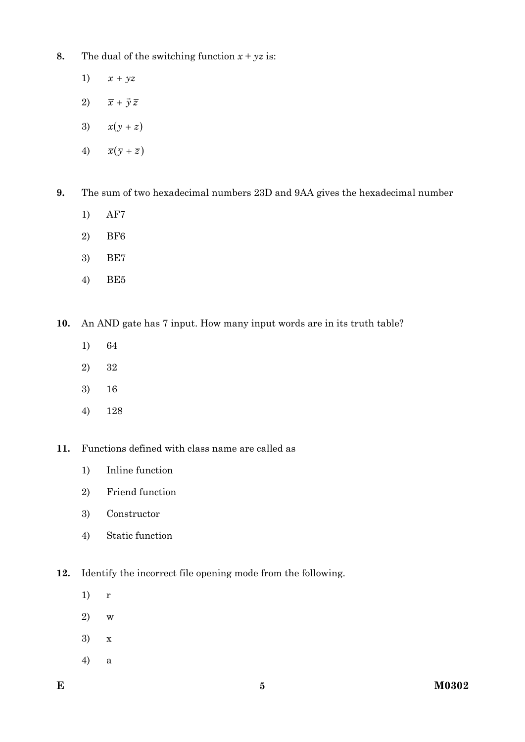- **8.** The dual of the switching function  $x + yz$  is:
	- 1)  $x + yz$
	- 2)  $\overline{x} + \overrightarrow{y} \overline{z}$
	- 3)  $x(y + z)$
	- 4)  $\overline{x}(\overline{y} + \overline{z})$
- **9.** The sum of two hexadecimal numbers 23D and 9AA gives the hexadecimal number
	- 1) AF7
	- 2) BF6
	- 3) BE7
	- 4) BE5

**10.** An AND gate has 7 input. How many input words are in its truth table?

- 1) 64
- 2) 32
- 3) 16
- 4) 128
- **11.** Functions defined with class name are called as
	- 1) Inline function
	- 2) Friend function
	- 3) Constructor
	- 4) Static function
- **12.** Identify the incorrect file opening mode from the following.
	- 1) r
	- 2) w
	- 3) x
	- 4) a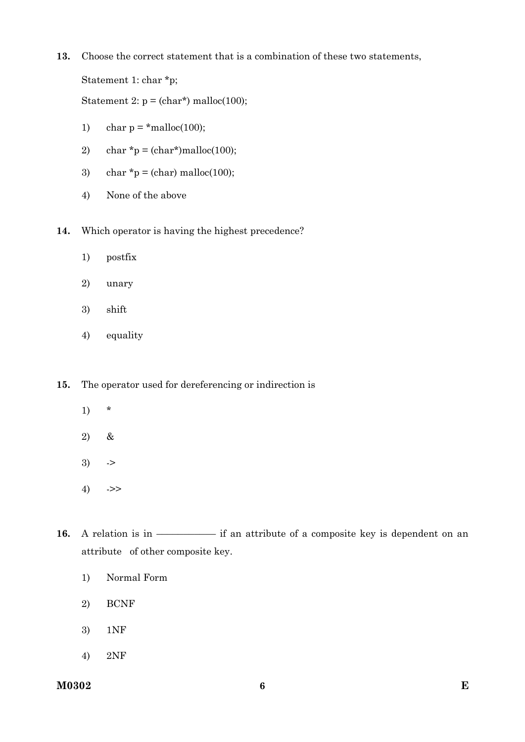**13.** Choose the correct statement that is a combination of these two statements,

Statement 1: char \*p;

Statement 2:  $p = (char*)$  malloc(100);

- 1) char  $p = *m$ alloc(100);
- 2) char  $\approx p = \frac{(\text{char} \cdot \text{smalloc}(100))}{(p^2 p^2)}$
- 3) char  $*_{p} = (char)$  malloc(100);
- 4) None of the above
- **14.** Which operator is having the highest precedence?
	- 1) postfix
	- 2) unary
	- 3) shift
	- 4) equality

**15.** The operator used for dereferencing or indirection is

- 1) \*
- 2) &
- $3)$  ->
- $4)$  ->>
- **16.** A relation is in –––––––––––––– if an attribute of a composite key is dependent on an attribute of other composite key.
	- 1) Normal Form
	- 2) BCNF
	- 3) 1NF
	- 4) 2NF

**M0302** 6 **E**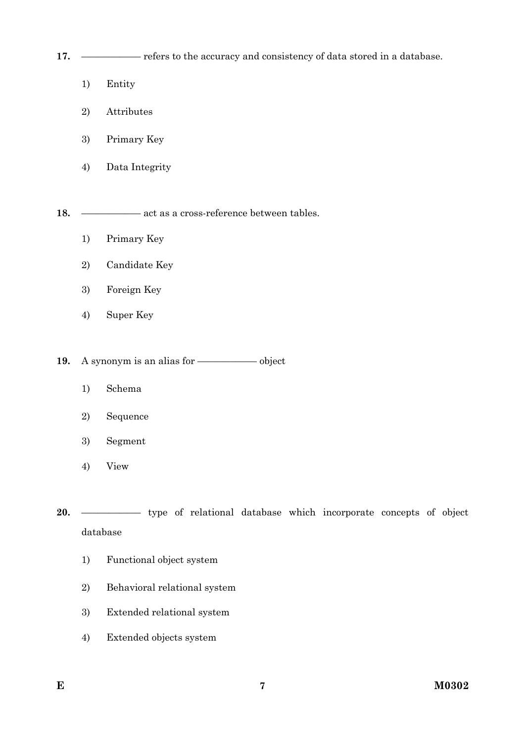**17.** ––––––––––– refers to the accuracy and consistency of data stored in a database.

- 1) Entity
- 2) Attributes
- 3) Primary Key
- 4) Data Integrity

**18.** ––––––––––– act as a cross-reference between tables.

- 1) Primary Key
- 2) Candidate Key
- 3) Foreign Key
- 4) Super Key

**19.** A synonym is an alias for ––––––––––– object

- 1) Schema
- 2) Sequence
- 3) Segment
- 4) View

20. —––––––––– type of relational database which incorporate concepts of object database

- 1) Functional object system
- 2) Behavioral relational system
- 3) Extended relational system
- 4) Extended objects system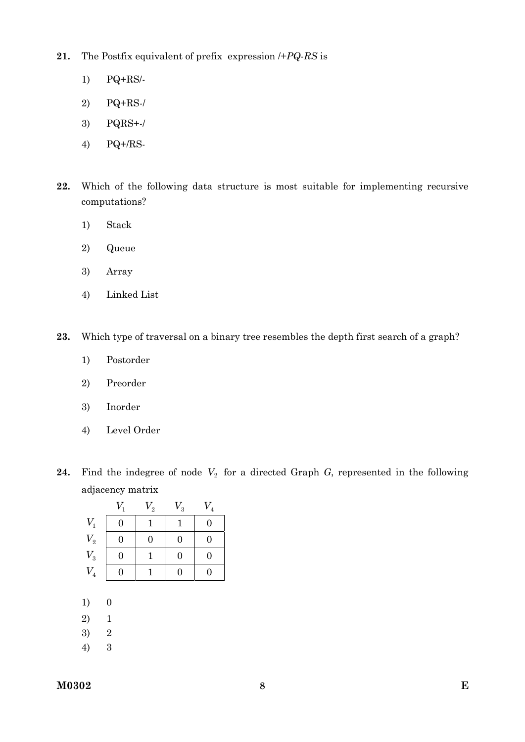- **21.** The Postfix equivalent of prefix expression /+*PQ-RS* is
	- 1) PQ+RS/-
	- 2) PQ+RS-/
	- 3) PQRS+-/
	- 4) PQ+/RS-
- **22.** Which of the following data structure is most suitable for implementing recursive computations?
	- 1) Stack
	- 2) Queue
	- 3) Array
	- 4) Linked List
- **23.** Which type of traversal on a binary tree resembles the depth first search of a graph?
	- 1) Postorder
	- 2) Preorder
	- 3) Inorder
	- 4) Level Order
- **24.** Find the indegree of node  $V_2$  for a directed Graph *G*, represented in the following adjacency matrix

|                 | $V_1$ | $V^{\vphantom{\dagger}}_2$ | $\,V_3$ | $\,V_4$ |
|-----------------|-------|----------------------------|---------|---------|
| $V_1$           | 0     |                            |         | I)      |
| $V_{2}$         | 0     | $\overline{0}$             | 0       |         |
| $\mathcal{V}_3$ | 0     |                            | 0       |         |
| $\,V_4$         |       |                            | 0       |         |

- 1) 0
- 2) 1
- 3) 2
- 4) 3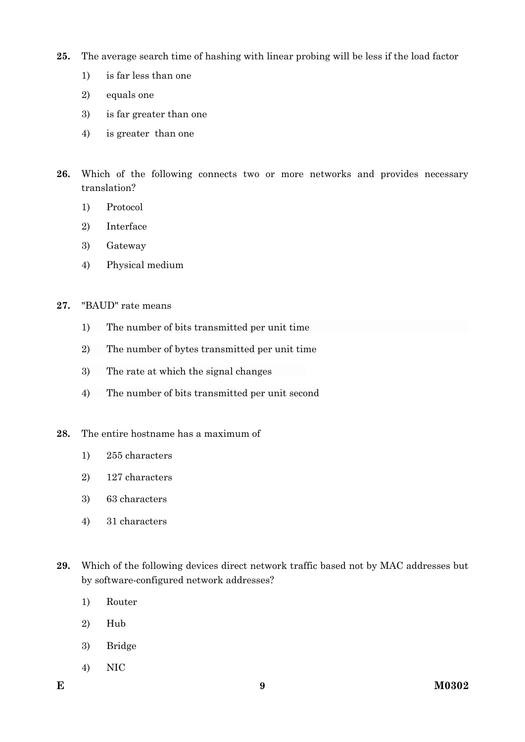- **25.** The average search time of hashing with linear probing will be less if the load factor
	- 1) is far less than one
	- 2) equals one
	- 3) is far greater than one
	- 4) is greater than one
- **26.** Which of the following connects two or more networks and provides necessary translation?
	- 1) Protocol
	- 2) Interface
	- 3) Gateway
	- 4) Physical medium
- **27.** "BAUD" rate means
	- 1) The number of bits transmitted per unit time
	- 2) The number of bytes transmitted per unit time
	- 3) The rate at which the signal changes
	- 4) The number of bits transmitted per unit second
- **28.** The entire hostname has a maximum of
	- 1) 255 characters
	- 2) 127 characters
	- 3) 63 characters
	- 4) 31 characters
- **29.** Which of the following devices direct network traffic based not by MAC addresses but by software-configured network addresses?
	- 1) Router
	- 2) Hub
	- 3) Bridge
	- 4) NIC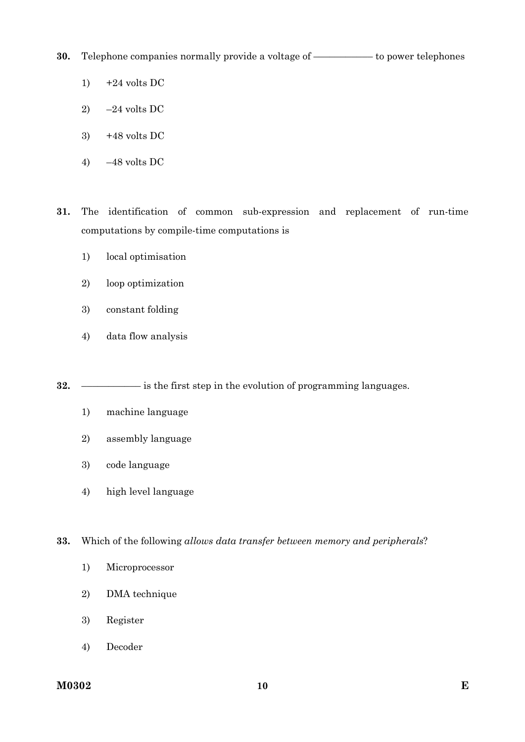**30.** Telephone companies normally provide a voltage of ––––––––––– to power telephones

- 1)  $+24$  volts DC
- 2)  $-24$  volts DC
- 3)  $+48$  volts DC
- 4) –48 volts DC

**31.** The identification of common sub-expression and replacement of run-time computations by compile-time computations is

- 1) local optimisation
- 2) loop optimization
- 3) constant folding
- 4) data flow analysis

**32.** ––––––––––– is the first step in the evolution of programming languages.

- 1) machine language
- 2) assembly language
- 3) code language
- 4) high level language

**33.** Which of the following *allows data transfer between memory and peripherals*?

- 1) Microprocessor
- 2) DMA technique
- 3) Register
- 4) Decoder

**M0302 h** 10 **E**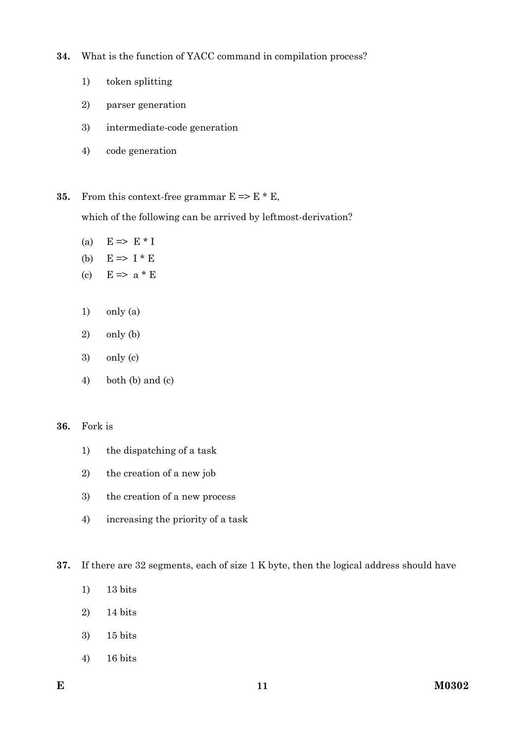- **34.** What is the function of YACC command in compilation process?
	- 1) token splitting
	- 2) parser generation
	- 3) intermediate-code generation
	- 4) code generation
- **35.** From this context-free grammar  $E \approx E * E$ ,

which of the following can be arrived by leftmost-derivation?

- (a)  $E \Rightarrow E * I$
- (b)  $E \Rightarrow I * E$
- (c)  $E \Rightarrow a * E$
- 1) only (a)
- 2) only (b)
- 3) only (c)
- 4) both (b) and (c)

### **36.** Fork is

- 1) the dispatching of a task
- 2) the creation of a new job
- 3) the creation of a new process
- 4) increasing the priority of a task
- **37.** If there are 32 segments, each of size 1 K byte, then the logical address should have
	- 1) 13 bits
	- 2) 14 bits
	- 3) 15 bits
	- 4) 16 bits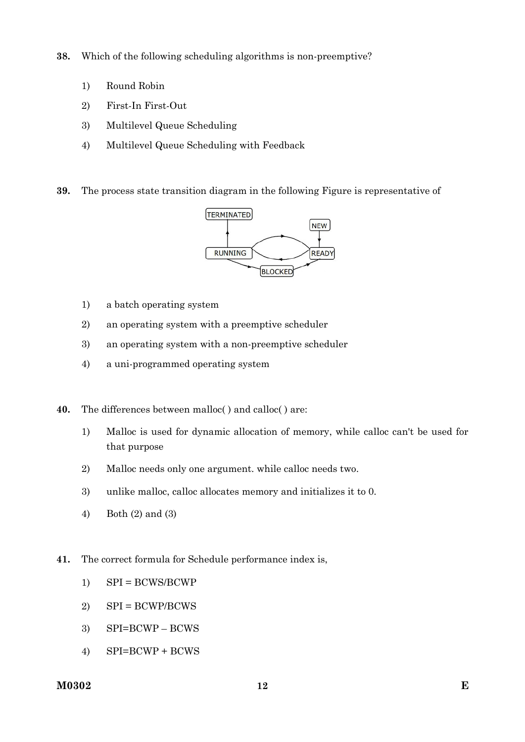- **38.** Which of the following scheduling algorithms is non-preemptive?
	- 1) Round Robin
	- 2) First-In First-Out
	- 3) Multilevel Queue Scheduling
	- 4) Multilevel Queue Scheduling with Feedback
- **39.** The process state transition diagram in the following Figure is representative of



- 1) a batch operating system
- 2) an operating system with a preemptive scheduler
- 3) an operating system with a non-preemptive scheduler
- 4) a uni-programmed operating system
- **40.** The differences between malloc( ) and calloc( ) are:
	- 1) Malloc is used for dynamic allocation of memory, while calloc can't be used for that purpose
	- 2) Malloc needs only one argument. while calloc needs two.
	- 3) unlike malloc, calloc allocates memory and initializes it to 0.
	- 4) Both (2) and (3)
- **41.** The correct formula for Schedule performance index is,
	- 1) SPI = BCWS/BCWP
	- 2)  $SPI = BCWP/BCWS$
	- 3) SPI=BCWP BCWS
	- 4) SPI=BCWP + BCWS

### **M0302 E**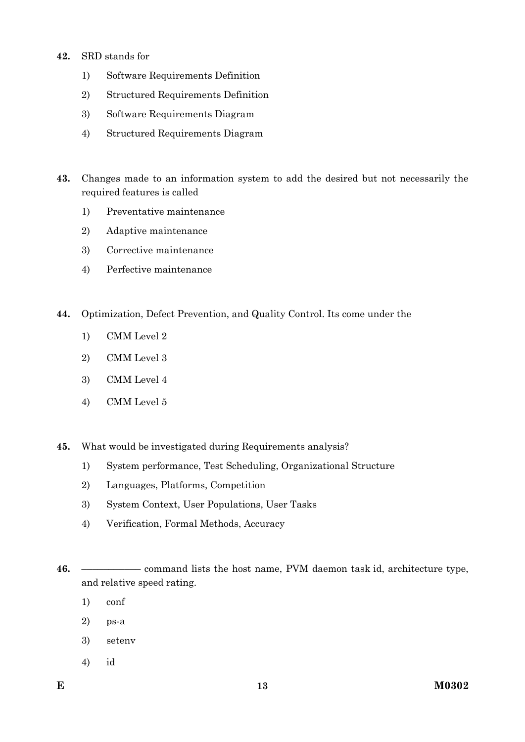- **42.** SRD stands for
	- 1) Software Requirements Definition
	- 2) Structured Requirements Definition
	- 3) Software Requirements Diagram
	- 4) Structured Requirements Diagram
- **43.** Changes made to an information system to add the desired but not necessarily the required features is called
	- 1) Preventative maintenance
	- 2) Adaptive maintenance
	- 3) Corrective maintenance
	- 4) Perfective maintenance
- **44.** Optimization, Defect Prevention, and Quality Control. Its come under the
	- 1) CMM Level 2
	- 2) CMM Level 3
	- 3) CMM Level 4
	- 4) CMM Level 5
- **45.** What would be investigated during Requirements analysis?
	- 1) System performance, Test Scheduling, Organizational Structure
	- 2) Languages, Platforms, Competition
	- 3) System Context, User Populations, User Tasks
	- 4) Verification, Formal Methods, Accuracy

- 1) conf
- 2) ps-a
- 3) setenv
- 4) id

**<sup>46.</sup>** ––––––––––– command lists the host name, PVM daemon task id, architecture type, and relative speed rating.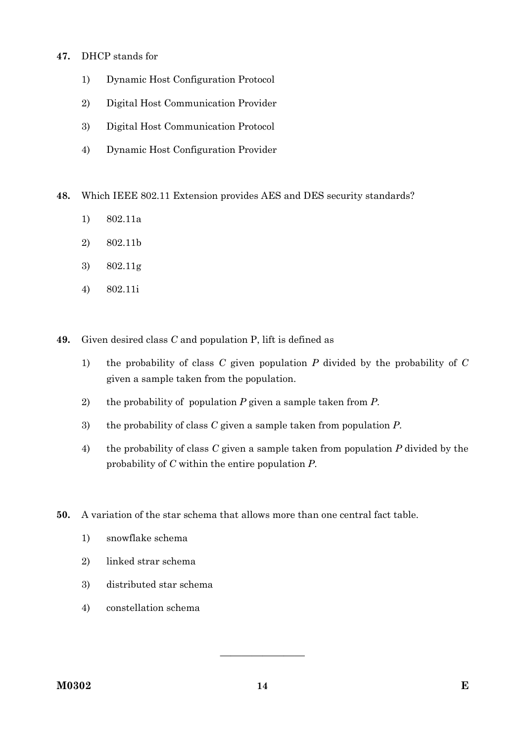- **47.** DHCP stands for
	- 1) Dynamic Host Configuration Protocol
	- 2) Digital Host Communication Provider
	- 3) Digital Host Communication Protocol
	- 4) Dynamic Host Configuration Provider
- **48.** Which IEEE 802.11 Extension provides AES and DES security standards?
	- 1) 802.11a
	- 2) 802.11b
	- 3) 802.11g
	- 4) 802.11i
- **49.** Given desired class *C* and population P, lift is defined as
	- 1) the probability of class *C* given population *P* divided by the probability of *C* given a sample taken from the population.
	- 2) the probability of population *P* given a sample taken from *P*.
	- 3) the probability of class *C* given a sample taken from population *P*.
	- 4) the probability of class *C* given a sample taken from population *P* divided by the probability of *C* within the entire population *P*.
- **50.** A variation of the star schema that allows more than one central fact table.
	- 1) snowflake schema
	- 2) linked strar schema
	- 3) distributed star schema
	- 4) constellation schema

————————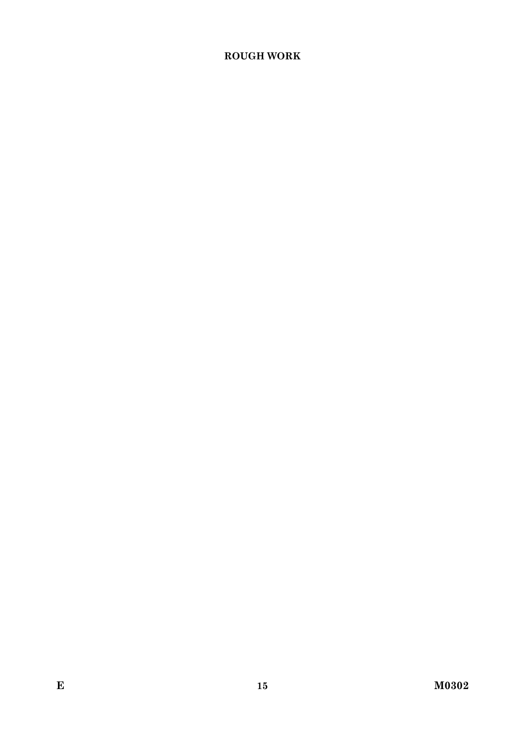# **ROUGH WORK**